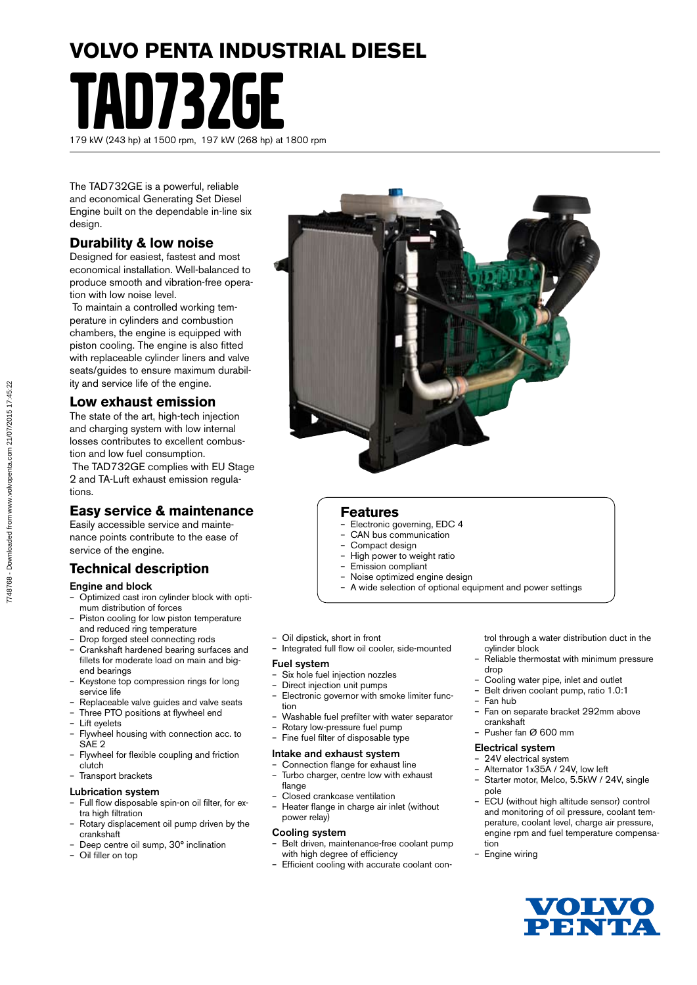## **VOLVO PENTA INDUSTRIAL DIESEL**

TAD732GE 179 kW (243 hp) at 1500 rpm, 197 kW (268 hp) at 1800 rpm

The TAD732GE is a powerful, reliable and economical Generating Set Diesel Engine built on the dependable in-line six design.

## **Durability & low noise**

Designed for easiest, fastest and most economical installation. Well-balanced to produce smooth and vibration-free operation with low noise level.

 To maintain a controlled working temperature in cylinders and combustion chambers, the engine is equipped with piston cooling. The engine is also fitted with replaceable cylinder liners and valve seats/guides to ensure maximum durability and service life of the engine.

## **Low exhaust emission**

The state of the art, high-tech injection and charging system with low internal losses contributes to excellent combustion and low fuel consumption.

 The TAD732GE complies with EU Stage 2 and TA-Luft exhaust emission regulations.

## **Easy service & maintenance**

Easily accessible service and maintenance points contribute to the ease of service of the engine.

## **Technical description**

#### Engine and block

- Optimized cast iron cylinder block with optimum distribution of forces
- Piston cooling for low piston temperature and reduced ring temperature
- Drop forged steel connecting rods
- Crankshaft hardened bearing surfaces and fillets for moderate load on main and bigend bearings
- Keystone top compression rings for long service life
- Replaceable valve guides and valve seats
- Three PTO positions at flywheel end
- Lift evelets
- Flywheel housing with connection acc. to SAE 2
- Flywheel for flexible coupling and friction clutch
- Transport brackets

#### Lubrication system

- Full flow disposable spin-on oil filter, for extra high filtration
- Rotary displacement oil pump driven by the crankshaft
- Deep centre oil sump, 30° inclination
- Oil filler on top



### **Features**

- Electronic governing, EDC 4
- CAN bus communication
- Compact design
- High power to weight ratio
- Emission compliant
- Noise optimized engine design – A wide selection of optional equipment and power settings
- Oil dipstick, short in front
- Integrated full flow oil cooler, side-mounted

#### Fuel system

- Six hole fuel injection nozzles<br>- Direct injection unit numps
- Direct injection unit pumps
- Electronic governor with smoke limiter function
- Washable fuel prefilter with water separator
- Rotary low-pressure fuel pump
- Fine fuel filter of disposable type

#### Intake and exhaust system

- Connection flange for exhaust line – Turbo charger, centre low with exhaust
- flange – Closed crankcase ventilation
- Heater flange in charge air inlet (without power relay)

#### Cooling system

- Belt driven, maintenance-free coolant pump with high degree of efficiency
- Efficient cooling with accurate coolant con-

trol through a water distribution duct in the cylinder block

- Reliable thermostat with minimum pressure drop
- Cooling water pipe, inlet and outlet
- Belt driven coolant pump, ratio 1.0:1
- Fan hub
- Fan on separate bracket 292mm above crankshaft
- Pusher fan Ø 600 mm

#### Electrical system

- 24V electrical system
- Alternator 1x35A / 24V, low left
- Starter motor, Melco, 5.5kW / 24V, single pole
- ECU (without high altitude sensor) control and monitoring of oil pressure, coolant temperature, coolant level, charge air pressure, engine rpm and fuel temperature compensation
- Engine wiring